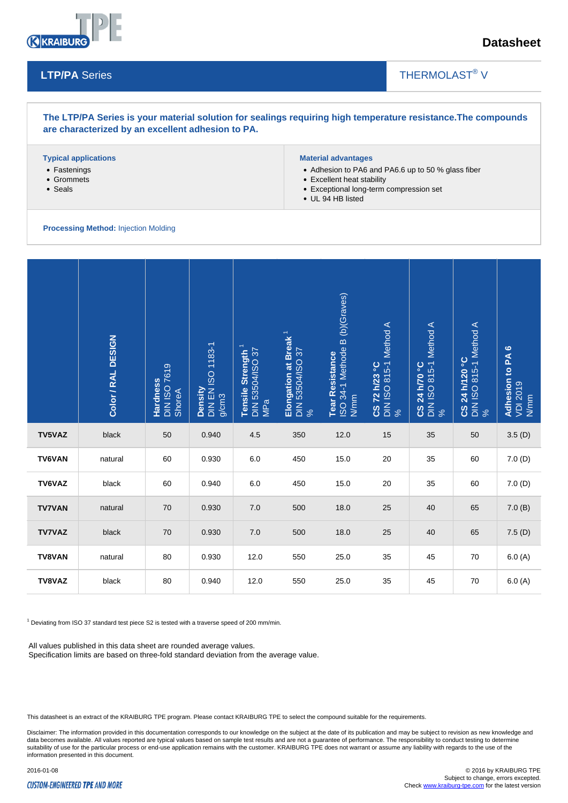

**LTP/PA** Series

## **Datasheet**

## THERMOLAST<sup>®</sup> V

### **The LTP/PA Series is your material solution for sealings requiring high temperature resistance.The compounds are characterized by an excellent adhesion to PA.**

#### **Typical applications**

- Fastenings
- Grommets
- Seals

### **Material advantages**

• Adhesion to PA6 and PA6.6 up to 50 % glass fiber

 $\overline{\phantom{a}}$ 

- Excellent heat stability
- Exceptional long-term compression set
- UL 94 HB listed

#### **Processing Method:** Injection Molding

|               | Color / RAL DESIGN                                                                                                                                                                                                                                                         | DIN ISO 7619<br>ShoreA<br><b>Hardness</b> | Density<br>DIN EN ISO 1183-1<br>g/cm3 | Tensile Strength <sup>1</sup><br>DIN 53504/ISO 37<br>MPa | Elongation at Break <sup>1</sup><br>DIN 53504/ISO 37<br>% | ISO 34-1 Methode B (b)(Graves)<br><b>Tear Resistance</b><br>N/mm | <b>CS 72 h/23 °C</b><br>DIN ISO 815-1 Method A<br>% | CS 24 h/T0 °C<br>DIN ISO 815-1 Method A<br>% | CS 24 h/1 20 °C<br>DIN ISO 815-1 Method A<br>% | Adhesion to PA 6<br>VDI 2019<br>M/mm |
|---------------|----------------------------------------------------------------------------------------------------------------------------------------------------------------------------------------------------------------------------------------------------------------------------|-------------------------------------------|---------------------------------------|----------------------------------------------------------|-----------------------------------------------------------|------------------------------------------------------------------|-----------------------------------------------------|----------------------------------------------|------------------------------------------------|--------------------------------------|
| TV5VAZ        | black                                                                                                                                                                                                                                                                      | 50                                        | 0.940                                 | 4.5                                                      | 350                                                       | 12.0                                                             | 15                                                  | 35                                           | 50                                             | 3.5(D)                               |
| <b>TV6VAN</b> | natural                                                                                                                                                                                                                                                                    | 60                                        | 0.930                                 | 6.0                                                      | 450                                                       | 15.0                                                             | 20                                                  | 35                                           | 60                                             | 7.0(D)                               |
| TV6VAZ        | black                                                                                                                                                                                                                                                                      | 60                                        | 0.940                                 | 6.0                                                      | 450                                                       | 15.0                                                             | 20                                                  | 35                                           | 60                                             | 7.0(D)                               |
| <b>TV7VAN</b> | natural                                                                                                                                                                                                                                                                    | 70                                        | 0.930                                 | $7.0$                                                    | 500                                                       | 18.0                                                             | 25                                                  | 40                                           | 65                                             | 7.0(B)                               |
| <b>TV7VAZ</b> | black                                                                                                                                                                                                                                                                      | 70                                        | 0.930                                 | $7.0$                                                    | 500                                                       | 18.0                                                             | 25                                                  | 40                                           | 65                                             | 7.5(D)                               |
| <b>TV8VAN</b> | natural                                                                                                                                                                                                                                                                    | 80                                        | 0.930                                 | 12.0                                                     | 550                                                       | 25.0                                                             | 35                                                  | 45                                           | 70                                             | 6.0(A)                               |
| TV8VAZ        | black                                                                                                                                                                                                                                                                      | 80                                        | 0.940                                 | 12.0                                                     | 550                                                       | 25.0                                                             | 35                                                  | 45                                           | 70                                             | 6.0(A)                               |
|               | <sup>1</sup> Deviating from ISO 37 standard test piece S2 is tested with a traverse speed of 200 mm/min.<br>All values published in this data sheet are rounded average values.<br>Specification limits are based on three-fold standard deviation from the average value. |                                           |                                       |                                                          |                                                           |                                                                  |                                                     |                                              |                                                |                                      |

This datasheet is an extract of the KRAIBURG TPE program. Please contact KRAIBURG TPE to select the compound suitable for the requirements.

Disclaimer: The information provided in this documentation corresponds to our knowledge on the subject at the date of its publication and may be subject to revision as new knowledge and data becomes available. All values reported are typical values based on sample test results and are not a guarantee of performance. The responsibility to conduct testing to determine suitability of use for the particular process or end-use application remains with the customer. KRAIBURG TPE does not warrant or assume any liability with regards to the use of the information presented in this document.